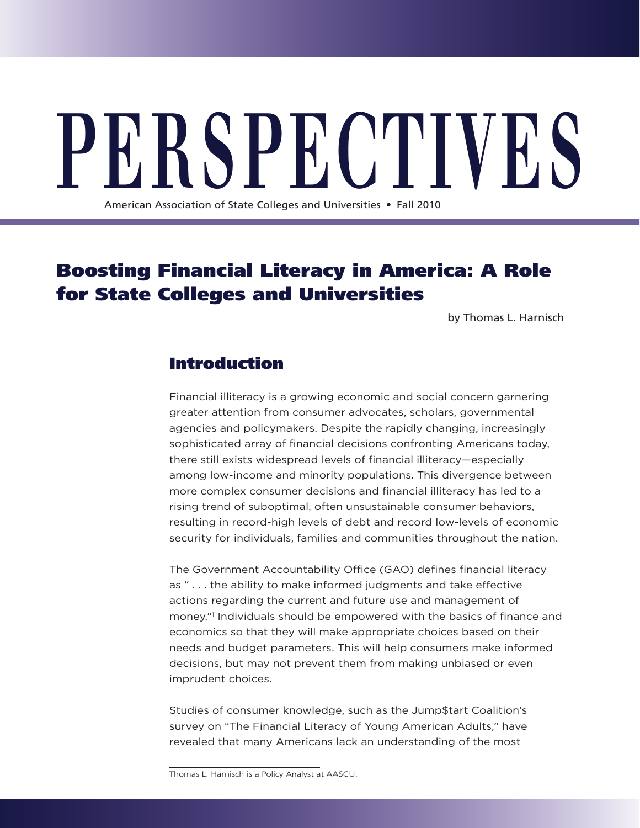PE RS PECTIVES

American Association of State Colleges and Universities • Fall 2010

# Boosting Financial Literacy in America: A Role for State Colleges and Universities

by Thomas L. Harnisch

## Introduction

Financial illiteracy is a growing economic and social concern garnering greater attention from consumer advocates, scholars, governmental agencies and policymakers. Despite the rapidly changing, increasingly sophisticated array of financial decisions confronting Americans today, there still exists widespread levels of financial illiteracy—especially among low-income and minority populations. This divergence between more complex consumer decisions and financial illiteracy has led to a rising trend of suboptimal, often unsustainable consumer behaviors, resulting in record-high levels of debt and record low-levels of economic security for individuals, families and communities throughout the nation.

The Government Accountability Office (GAO) defines financial literacy as " . . . the ability to make informed judgments and take effective actions regarding the current and future use and management of money."1 Individuals should be empowered with the basics of finance and economics so that they will make appropriate choices based on their needs and budget parameters. This will help consumers make informed decisions, but may not prevent them from making unbiased or even imprudent choices.

Studies of consumer knowledge, such as the Jump\$tart Coalition's survey on "The Financial Literacy of Young American Adults," have revealed that many Americans lack an understanding of the most

Thomas L. Harnisch is a Policy Analyst at AASCU.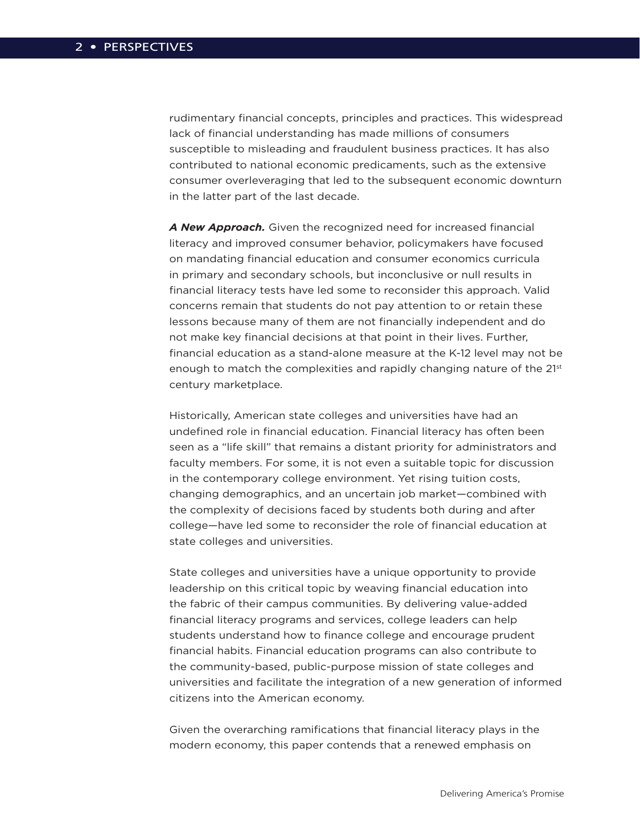rudimentary financial concepts, principles and practices. This widespread lack of financial understanding has made millions of consumers susceptible to misleading and fraudulent business practices. It has also contributed to national economic predicaments, such as the extensive consumer overleveraging that led to the subsequent economic downturn in the latter part of the last decade.

*A New Approach.* Given the recognized need for increased financial literacy and improved consumer behavior, policymakers have focused on mandating financial education and consumer economics curricula in primary and secondary schools, but inconclusive or null results in financial literacy tests have led some to reconsider this approach. Valid concerns remain that students do not pay attention to or retain these lessons because many of them are not financially independent and do not make key financial decisions at that point in their lives. Further, financial education as a stand-alone measure at the K-12 level may not be enough to match the complexities and rapidly changing nature of the 21st century marketplace.

Historically, American state colleges and universities have had an undefined role in financial education. Financial literacy has often been seen as a "life skill" that remains a distant priority for administrators and faculty members. For some, it is not even a suitable topic for discussion in the contemporary college environment. Yet rising tuition costs, changing demographics, and an uncertain job market—combined with the complexity of decisions faced by students both during and after college—have led some to reconsider the role of financial education at state colleges and universities.

State colleges and universities have a unique opportunity to provide leadership on this critical topic by weaving financial education into the fabric of their campus communities. By delivering value-added financial literacy programs and services, college leaders can help students understand how to finance college and encourage prudent financial habits. Financial education programs can also contribute to the community-based, public-purpose mission of state colleges and universities and facilitate the integration of a new generation of informed citizens into the American economy.

Given the overarching ramifications that financial literacy plays in the modern economy, this paper contends that a renewed emphasis on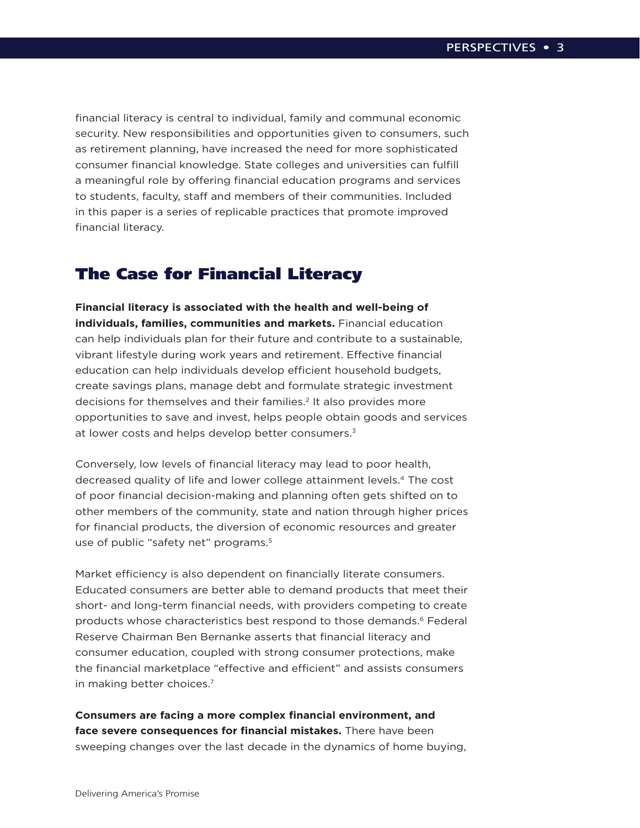financial literacy is central to individual, family and communal economic security. New responsibilities and opportunities given to consumers, such as retirement planning, have increased the need for more sophisticated consumer financial knowledge. State colleges and universities can fulfill a meaningful role by offering financial education programs and services to students, faculty, staff and members of their communities. Included in this paper is a series of replicable practices that promote improved financial literacy.

## The Case for Financial Literacy

**Financial literacy is associated with the health and well-being of individuals, families, communities and markets.** Financial education can help individuals plan for their future and contribute to a sustainable, vibrant lifestyle during work years and retirement. Effective financial education can help individuals develop efficient household budgets, create savings plans, manage debt and formulate strategic investment decisions for themselves and their families.<sup>2</sup> It also provides more opportunities to save and invest, helps people obtain goods and services at lower costs and helps develop better consumers.<sup>3</sup>

Conversely, low levels of financial literacy may lead to poor health, decreased quality of life and lower college attainment levels.4 The cost of poor financial decision-making and planning often gets shifted on to other members of the community, state and nation through higher prices for financial products, the diversion of economic resources and greater use of public "safety net" programs.<sup>5</sup>

Market efficiency is also dependent on financially literate consumers. Educated consumers are better able to demand products that meet their short- and long-term financial needs, with providers competing to create products whose characteristics best respond to those demands.<sup>6</sup> Federal Reserve Chairman Ben Bernanke asserts that financial literacy and consumer education, coupled with strong consumer protections, make the financial marketplace "effective and efficient" and assists consumers in making better choices.7

**Consumers are facing a more complex financial environment, and face severe consequences for financial mistakes.** There have been sweeping changes over the last decade in the dynamics of home buying,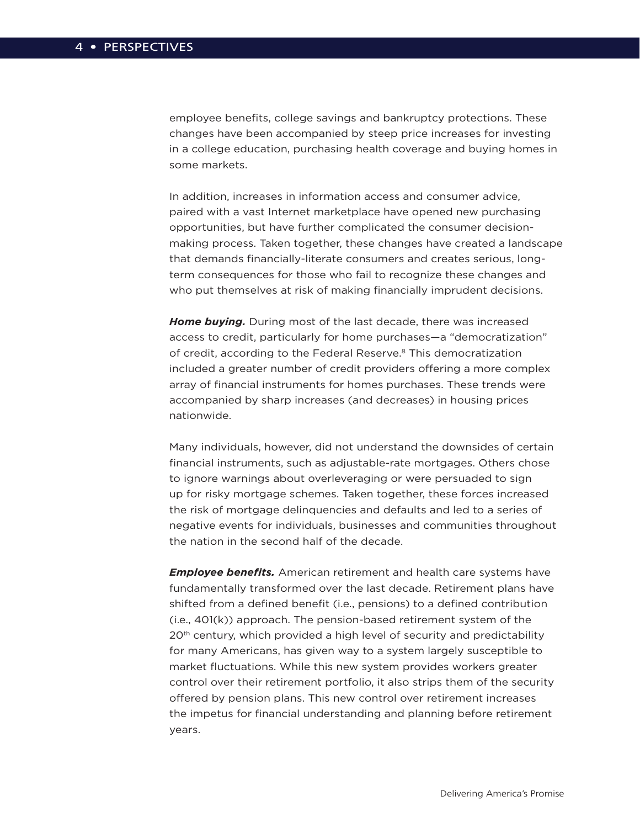employee benefits, college savings and bankruptcy protections. These changes have been accompanied by steep price increases for investing in a college education, purchasing health coverage and buying homes in some markets.

In addition, increases in information access and consumer advice, paired with a vast Internet marketplace have opened new purchasing opportunities, but have further complicated the consumer decisionmaking process. Taken together, these changes have created a landscape that demands financially-literate consumers and creates serious, longterm consequences for those who fail to recognize these changes and who put themselves at risk of making financially imprudent decisions.

*Home buying.* During most of the last decade, there was increased access to credit, particularly for home purchases—a "democratization" of credit, according to the Federal Reserve.8 This democratization included a greater number of credit providers offering a more complex array of financial instruments for homes purchases. These trends were accompanied by sharp increases (and decreases) in housing prices nationwide.

Many individuals, however, did not understand the downsides of certain financial instruments, such as adjustable-rate mortgages. Others chose to ignore warnings about overleveraging or were persuaded to sign up for risky mortgage schemes. Taken together, these forces increased the risk of mortgage delinquencies and defaults and led to a series of negative events for individuals, businesses and communities throughout the nation in the second half of the decade.

*Employee benefits.* American retirement and health care systems have fundamentally transformed over the last decade. Retirement plans have shifted from a defined benefit (i.e., pensions) to a defined contribution (i.e., 401(k)) approach. The pension-based retirement system of the 20th century, which provided a high level of security and predictability for many Americans, has given way to a system largely susceptible to market fluctuations. While this new system provides workers greater control over their retirement portfolio, it also strips them of the security offered by pension plans. This new control over retirement increases the impetus for financial understanding and planning before retirement years.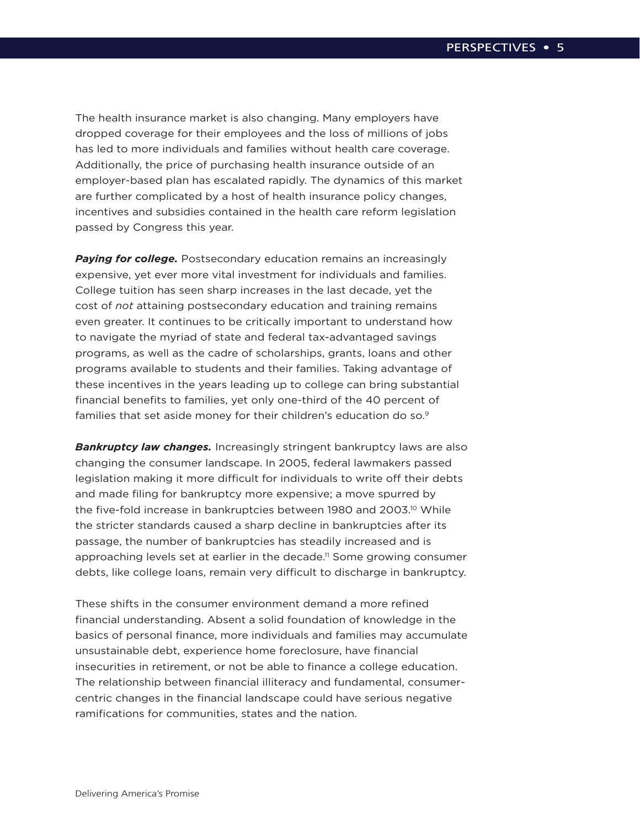The health insurance market is also changing. Many employers have dropped coverage for their employees and the loss of millions of jobs has led to more individuals and families without health care coverage. Additionally, the price of purchasing health insurance outside of an employer-based plan has escalated rapidly. The dynamics of this market are further complicated by a host of health insurance policy changes, incentives and subsidies contained in the health care reform legislation passed by Congress this year.

**Paying for college.** Postsecondary education remains an increasingly expensive, yet ever more vital investment for individuals and families. College tuition has seen sharp increases in the last decade, yet the cost of *not* attaining postsecondary education and training remains even greater. It continues to be critically important to understand how to navigate the myriad of state and federal tax-advantaged savings programs, as well as the cadre of scholarships, grants, loans and other programs available to students and their families. Taking advantage of these incentives in the years leading up to college can bring substantial financial benefits to families, yet only one-third of the 40 percent of families that set aside money for their children's education do so.<sup>9</sup>

*Bankruptcy law changes.* Increasingly stringent bankruptcy laws are also changing the consumer landscape. In 2005, federal lawmakers passed legislation making it more difficult for individuals to write off their debts and made filing for bankruptcy more expensive; a move spurred by the five-fold increase in bankruptcies between 1980 and 2003.<sup>10</sup> While the stricter standards caused a sharp decline in bankruptcies after its passage, the number of bankruptcies has steadily increased and is approaching levels set at earlier in the decade.<sup>11</sup> Some growing consumer debts, like college loans, remain very difficult to discharge in bankruptcy.

These shifts in the consumer environment demand a more refined financial understanding. Absent a solid foundation of knowledge in the basics of personal finance, more individuals and families may accumulate unsustainable debt, experience home foreclosure, have financial insecurities in retirement, or not be able to finance a college education. The relationship between financial illiteracy and fundamental, consumercentric changes in the financial landscape could have serious negative ramifications for communities, states and the nation.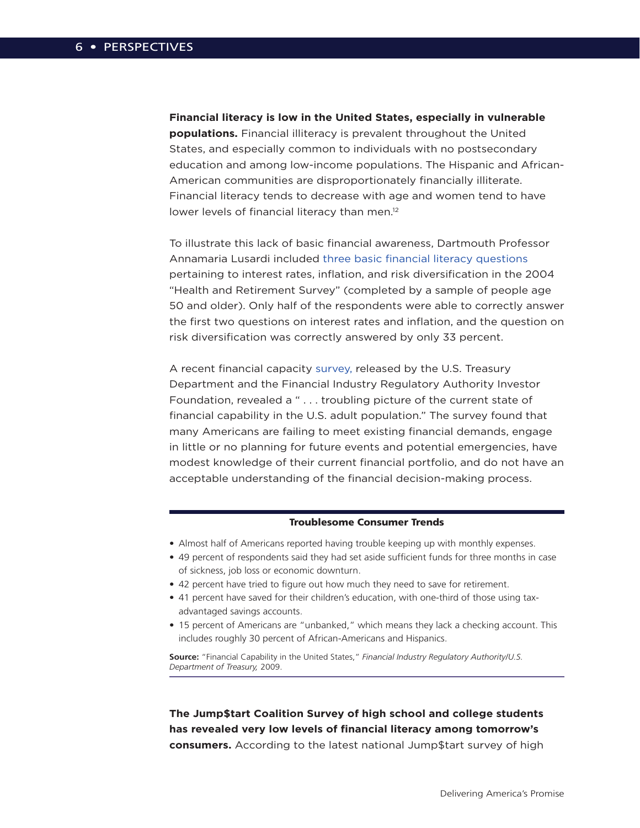**Financial literacy is low in the United States, especially in vulnerable populations.** Financial illiteracy is prevalent throughout the United States, and especially common to individuals with no postsecondary education and among low-income populations. The Hispanic and African-American communities are disproportionately financially illiterate. Financial literacy tends to decrease with age and women tend to have lower levels of financial literacy than men.<sup>12</sup>

To illustrate this lack of basic financial awareness, Dartmouth Professor Annamaria Lusardi included [three basic financial literacy questions](http://freakonomics.blogs.nytimes.com/2008/07/21/are-we-a-nation-of-financial-illiterates/)  pertaining to interest rates, inflation, and risk diversification in the 2004 "Health and Retirement Survey" (completed by a sample of people age 50 and older). Only half of the respondents were able to correctly answer the first two questions on interest rates and inflation, and the question on risk diversification was correctly answered by only 33 percent.

A recent financial capacity [survey,](http://www.finrafoundation.org/web/groups/foundation/@foundation/documents/foundation/p120535.pdf) released by the U.S. Treasury Department and the Financial Industry Regulatory Authority Investor Foundation, revealed a " . . . troubling picture of the current state of financial capability in the U.S. adult population." The survey found that many Americans are failing to meet existing financial demands, engage in little or no planning for future events and potential emergencies, have modest knowledge of their current financial portfolio, and do not have an acceptable understanding of the financial decision-making process.

#### Troublesome Consumer Trends

- Almost half of Americans reported having trouble keeping up with monthly expenses.
- 49 percent of respondents said they had set aside sufficient funds for three months in case of sickness, job loss or economic downturn.
- 42 percent have tried to figure out how much they need to save for retirement.
- 41 percent have saved for their children's education, with one-third of those using taxadvantaged savings accounts.
- 15 percent of Americans are "unbanked," which means they lack a checking account. This includes roughly 30 percent of African-Americans and Hispanics.

**Source:** "Financial Capability in the United States," *Financial Industry Regulatory Authority/U.S. Department of Treasury,* 2009.

### **The Jump\$tart Coalition Survey of high school and college students has revealed very low levels of financial literacy among tomorrow's consumers.** According to the latest national Jump\$tart survey of high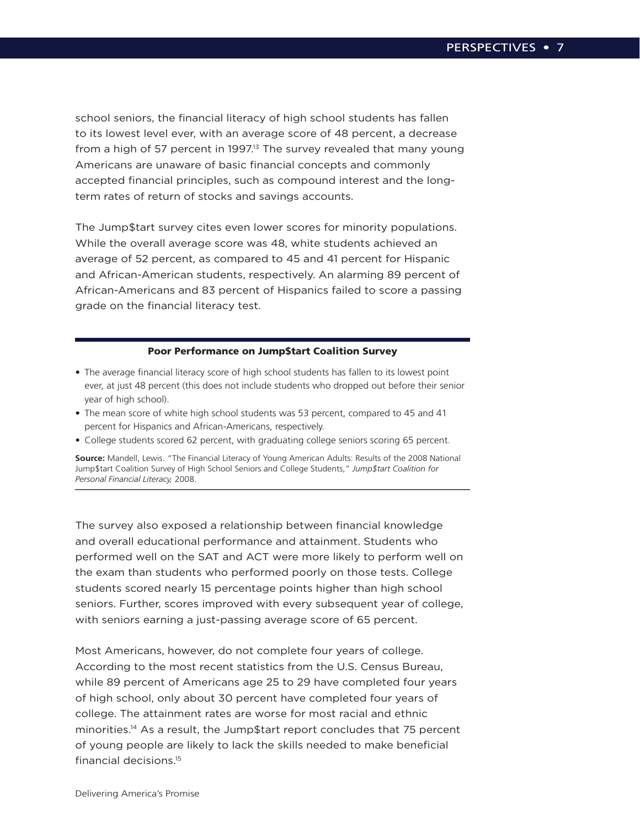school seniors, the financial literacy of high school students has fallen to its lowest level ever, with an average score of 48 percent, a decrease from a high of 57 percent in 1997.<sup>13</sup> The survey revealed that many young Americans are unaware of basic financial concepts and commonly accepted financial principles, such as compound interest and the longterm rates of return of stocks and savings accounts.

The Jump\$tart survey cites even lower scores for minority populations. While the overall average score was 48, white students achieved an average of 52 percent, as compared to 45 and 41 percent for Hispanic and African-American students, respectively. An alarming 89 percent of African-Americans and 83 percent of Hispanics failed to score a passing grade on the financial literacy test.

#### Poor Performance on Jump\$tart Coalition Survey

- The average financial literacy score of high school students has fallen to its lowest point ever, at just 48 percent (this does not include students who dropped out before their senior year of high school).
- The mean score of white high school students was 53 percent, compared to 45 and 41 percent for Hispanics and African-Americans, respectively.
- College students scored 62 percent, with graduating college seniors scoring 65 percent.

**Source:** Mandell, Lewis. "The Financial Literacy of Young American Adults: Results of the 2008 National Jump\$tart Coalition Survey of High School Seniors and College Students," *Jump\$tart Coalition for Personal Financial Literacy,* 2008.

The survey also exposed a relationship between financial knowledge and overall educational performance and attainment. Students who performed well on the SAT and ACT were more likely to perform well on the exam than students who performed poorly on those tests. College students scored nearly 15 percentage points higher than high school seniors. Further, scores improved with every subsequent year of college, with seniors earning a just-passing average score of 65 percent.

Most Americans, however, do not complete four years of college. According to the most recent statistics from the U.S. Census Bureau, while 89 percent of Americans age 25 to 29 have completed four years of high school, only about 30 percent have completed four years of college. The attainment rates are worse for most racial and ethnic minorities.14 As a result, the Jump\$tart report concludes that 75 percent of young people are likely to lack the skills needed to make beneficial financial decisions.15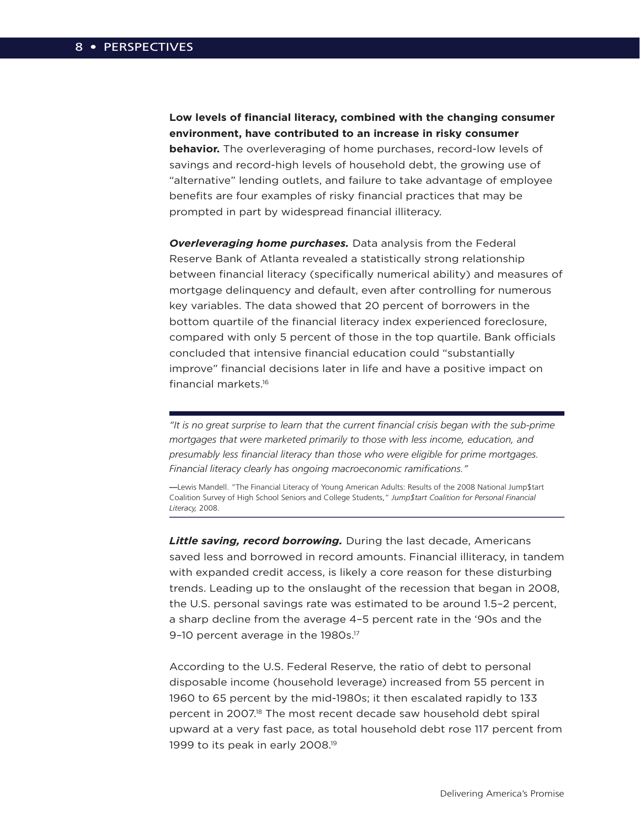**Low levels of financial literacy, combined with the changing consumer environment, have contributed to an increase in risky consumer behavior.** The overleveraging of home purchases, record-low levels of savings and record-high levels of household debt, the growing use of "alternative" lending outlets, and failure to take advantage of employee benefits are four examples of risky financial practices that may be prompted in part by widespread financial illiteracy.

*Overleveraging home purchases.* Data analysis from the Federal Reserve Bank of Atlanta revealed a statistically strong relationship between financial literacy (specifically numerical ability) and measures of mortgage delinquency and default, even after controlling for numerous key variables. The data showed that 20 percent of borrowers in the bottom quartile of the financial literacy index experienced foreclosure, compared with only 5 percent of those in the top quartile. Bank officials concluded that intensive financial education could "substantially improve" financial decisions later in life and have a positive impact on financial markets.16

*"It is no great surprise to learn that the current financial crisis began with the sub-prime mortgages that were marketed primarily to those with less income, education, and presumably less financial literacy than those who were eligible for prime mortgages. Financial literacy clearly has ongoing macroeconomic ramifications."*

**—**Lewis Mandell. "The Financial Literacy of Young American Adults: Results of the 2008 National Jump\$tart Coalition Survey of High School Seniors and College Students," *Jump\$tart Coalition for Personal Financial Literacy,* 2008.

*Little saving, record borrowing.* During the last decade, Americans saved less and borrowed in record amounts. Financial illiteracy, in tandem with expanded credit access, is likely a core reason for these disturbing trends. Leading up to the onslaught of the recession that began in 2008, the U.S. personal savings rate was estimated to be around 1.5–2 percent, a sharp decline from the average 4–5 percent rate in the '90s and the 9-10 percent average in the 1980s.<sup>17</sup>

According to the U.S. Federal Reserve, the ratio of debt to personal disposable income (household leverage) increased from 55 percent in 1960 to 65 percent by the mid-1980s; it then escalated rapidly to 133 percent in 2007.<sup>18</sup> The most recent decade saw household debt spiral upward at a very fast pace, as total household debt rose 117 percent from 1999 to its peak in early 2008.<sup>19</sup>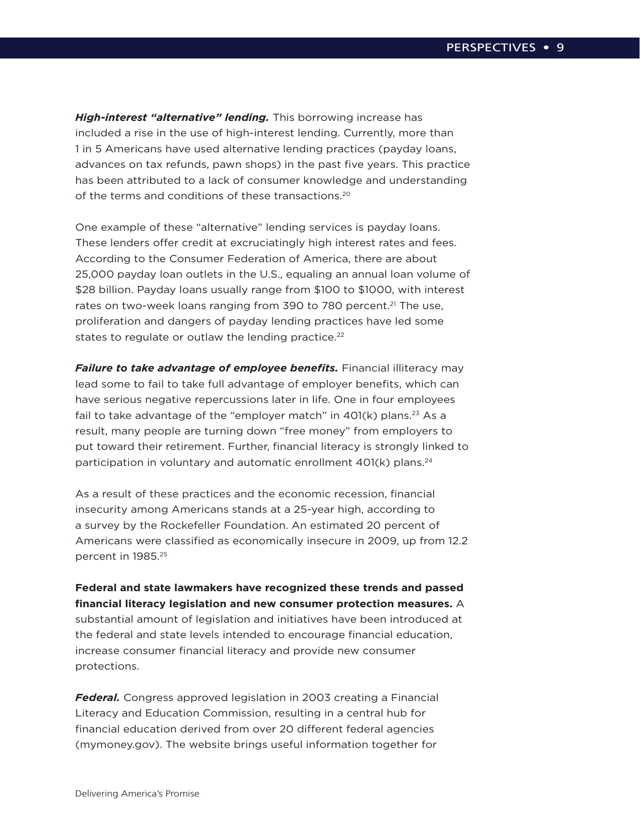*High-interest "alternative" lending.* This borrowing increase has included a rise in the use of high-interest lending. Currently, more than 1 in 5 Americans have used alternative lending practices (payday loans, advances on tax refunds, pawn shops) in the past five years. This practice has been attributed to a lack of consumer knowledge and understanding of the terms and conditions of these transactions.20

One example of these "alternative" lending services is payday loans. These lenders offer credit at excruciatingly high interest rates and fees. According to the Consumer Federation of America, there are about 25,000 payday loan outlets in the U.S., equaling an annual loan volume of \$28 billion. Payday loans usually range from \$100 to \$1000, with interest rates on two-week loans ranging from 390 to 780 percent.<sup>21</sup> The use, proliferation and dangers of payday lending practices have led some states to regulate or outlaw the lending practice.<sup>22</sup>

**Failure to take advantage of employee benefits.** Financial illiteracy may lead some to fail to take full advantage of employer benefits, which can have serious negative repercussions later in life. One in four employees fail to take advantage of the "employer match" in  $401(k)$  plans.<sup>23</sup> As a result, many people are turning down "free money" from employers to put toward their retirement. Further, financial literacy is strongly linked to participation in voluntary and automatic enrollment  $401(k)$  plans.<sup>24</sup>

As a result of these practices and the economic recession, financial insecurity among Americans stands at a 25-year high, according to a survey by the Rockefeller Foundation. An estimated 20 percent of Americans were classified as economically insecure in 2009, up from 12.2 percent in 1985.25

**Federal and state lawmakers have recognized these trends and passed financial literacy legislation and new consumer protection measures.** A substantial amount of legislation and initiatives have been introduced at the federal and state levels intended to encourage financial education, increase consumer financial literacy and provide new consumer protections.

*Federal.* Congress approved legislation in 2003 creating a Financial Literacy and Education Commission, resulting in a central hub for financial education derived from over 20 different federal agencies (mymoney.gov). The website brings useful information together for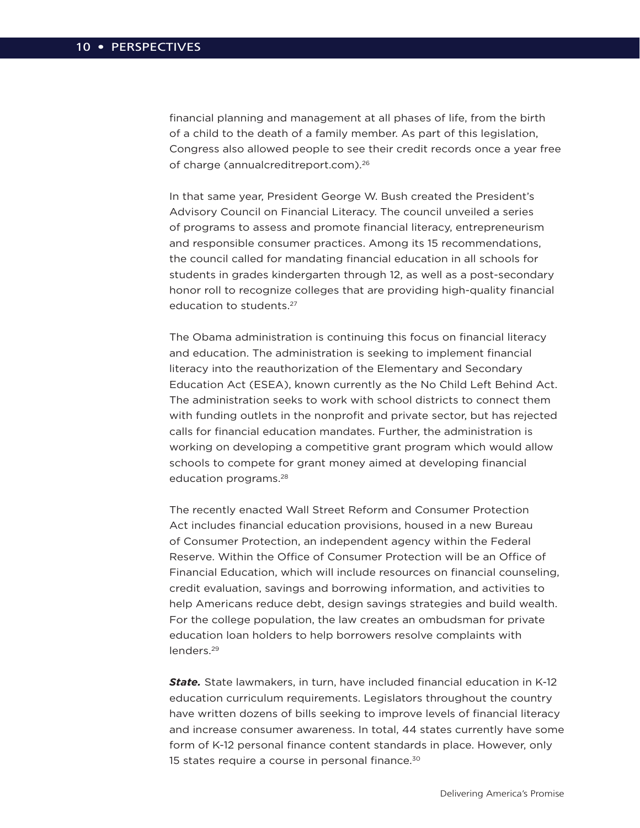financial planning and management at all phases of life, from the birth of a child to the death of a family member. As part of this legislation, Congress also allowed people to see their credit records once a year free of charge (annualcreditreport.com).26

In that same year, President George W. Bush created the President's Advisory Council on Financial Literacy. The council unveiled a series of programs to assess and promote financial literacy, entrepreneurism and responsible consumer practices. Among its 15 recommendations, the council called for mandating financial education in all schools for students in grades kindergarten through 12, as well as a post-secondary honor roll to recognize colleges that are providing high-quality financial education to students.<sup>27</sup>

The Obama administration is continuing this focus on financial literacy and education. The administration is seeking to implement financial literacy into the reauthorization of the Elementary and Secondary Education Act (ESEA), known currently as the No Child Left Behind Act. The administration seeks to work with school districts to connect them with funding outlets in the nonprofit and private sector, but has rejected calls for financial education mandates. Further, the administration is working on developing a competitive grant program which would allow schools to compete for grant money aimed at developing financial education programs.28

The recently enacted Wall Street Reform and Consumer Protection Act includes financial education provisions, housed in a new Bureau of Consumer Protection, an independent agency within the Federal Reserve. Within the Office of Consumer Protection will be an Office of Financial Education, which will include resources on financial counseling, credit evaluation, savings and borrowing information, and activities to help Americans reduce debt, design savings strategies and build wealth. For the college population, the law creates an ombudsman for private education loan holders to help borrowers resolve complaints with lenders.29

*State.* State lawmakers, in turn, have included financial education in K-12 education curriculum requirements. Legislators throughout the country have written dozens of bills seeking to improve levels of financial literacy and increase consumer awareness. In total, 44 states currently have some form of K-12 personal finance content standards in place. However, only 15 states require a course in personal finance.<sup>30</sup>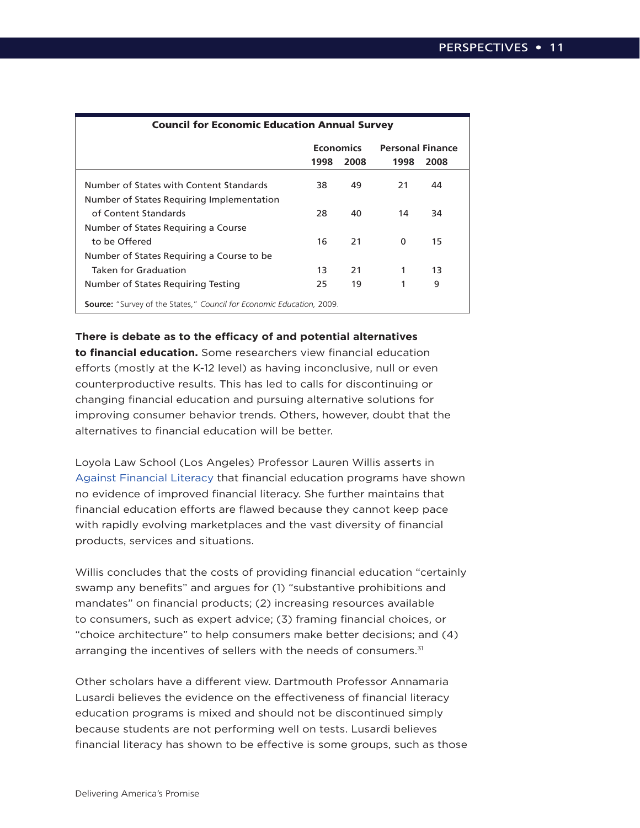| <b>Council for Economic Education Annual Survey</b>                          |                  |      |                         |      |
|------------------------------------------------------------------------------|------------------|------|-------------------------|------|
|                                                                              | <b>Economics</b> |      | <b>Personal Finance</b> |      |
|                                                                              | 1998             | 2008 | 1998                    | 2008 |
| Number of States with Content Standards                                      | 38.              | 49   | 21                      | 44   |
| Number of States Requiring Implementation                                    |                  |      |                         |      |
| of Content Standards                                                         | 28               | 40   | 14                      | 34   |
| Number of States Requiring a Course                                          |                  |      |                         |      |
| to be Offered                                                                | 16               | 21   | 0                       | 15   |
| Number of States Requiring a Course to be                                    |                  |      |                         |      |
| Taken for Graduation                                                         | 13               | 21   | 1                       | 13   |
| Number of States Requiring Testing                                           | 25.              | 19   | 1                       | 9    |
| <b>Source:</b> "Survey of the States," Council for Economic Education, 2009. |                  |      |                         |      |

**There is debate as to the efficacy of and potential alternatives** 

**to financial education.** Some researchers view financial education efforts (mostly at the K-12 level) as having inconclusive, null or even counterproductive results. This has led to calls for discontinuing or changing financial education and pursuing alternative solutions for improving consumer behavior trends. Others, however, doubt that the alternatives to financial education will be better.

Loyola Law School (Los Angeles) Professor Lauren Willis asserts in [Against Financial Literacy](http://www.law.uiowa.edu/documents/ilr/willis.pdf) that financial education programs have shown no evidence of improved financial literacy. She further maintains that financial education efforts are flawed because they cannot keep pace with rapidly evolving marketplaces and the vast diversity of financial products, services and situations.

Willis concludes that the costs of providing financial education "certainly swamp any benefits" and argues for (1) "substantive prohibitions and mandates" on financial products; (2) increasing resources available to consumers, such as expert advice; (3) framing financial choices, or "choice architecture" to help consumers make better decisions; and (4) arranging the incentives of sellers with the needs of consumers.<sup>31</sup>

Other scholars have a different view. Dartmouth Professor Annamaria Lusardi believes the evidence on the effectiveness of financial literacy education programs is mixed and should not be discontinued simply because students are not performing well on tests. Lusardi believes financial literacy has shown to be effective is some groups, such as those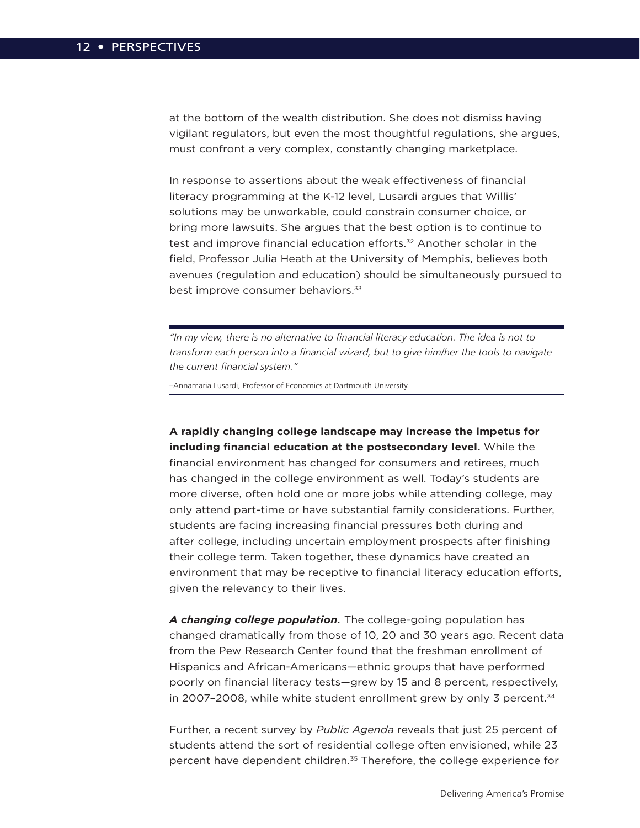at the bottom of the wealth distribution. She does not dismiss having vigilant regulators, but even the most thoughtful regulations, she argues, must confront a very complex, constantly changing marketplace.

In response to assertions about the weak effectiveness of financial literacy programming at the K-12 level, Lusardi argues that Willis' solutions may be unworkable, could constrain consumer choice, or bring more lawsuits. She argues that the best option is to continue to test and improve financial education efforts.<sup>32</sup> Another scholar in the field, Professor Julia Heath at the University of Memphis, believes both avenues (regulation and education) should be simultaneously pursued to best improve consumer behaviors.<sup>33</sup>

*"In my view, there is no alternative to financial literacy education. The idea is not to transform each person into a financial wizard, but to give him/her the tools to navigate the current financial system."* 

–Annamaria Lusardi, Professor of Economics at Dartmouth University.

**A rapidly changing college landscape may increase the impetus for including financial education at the postsecondary level.** While the financial environment has changed for consumers and retirees, much has changed in the college environment as well. Today's students are more diverse, often hold one or more jobs while attending college, may only attend part-time or have substantial family considerations. Further, students are facing increasing financial pressures both during and after college, including uncertain employment prospects after finishing their college term. Taken together, these dynamics have created an environment that may be receptive to financial literacy education efforts, given the relevancy to their lives.

*A changing college population.* The college-going population has changed dramatically from those of 10, 20 and 30 years ago. Recent data from the Pew Research Center found that the freshman enrollment of Hispanics and African-Americans—ethnic groups that have performed poorly on financial literacy tests—grew by 15 and 8 percent, respectively, in 2007–2008, while white student enrollment grew by only 3 percent. $34$ 

Further, a recent survey by *Public Agenda* reveals that just 25 percent of students attend the sort of residential college often envisioned, while 23 percent have dependent children.<sup>35</sup> Therefore, the college experience for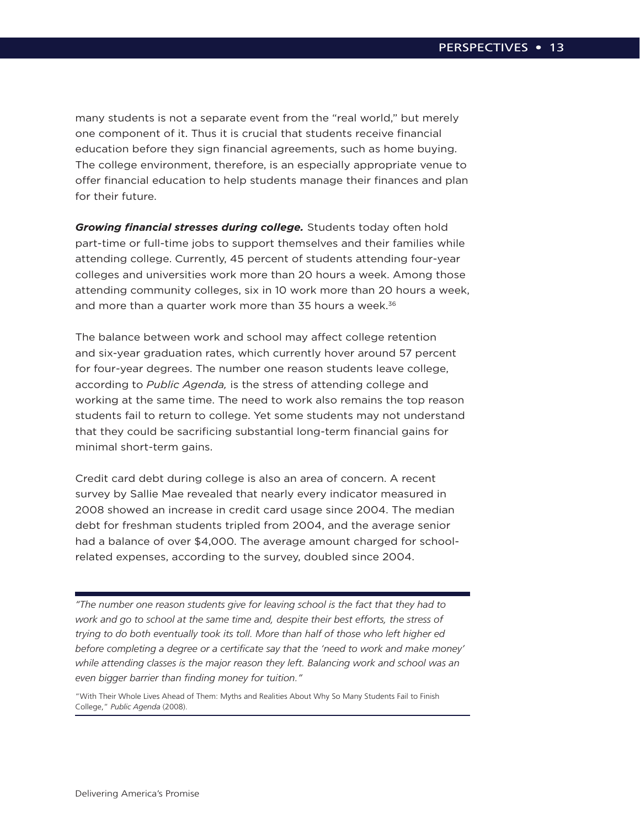many students is not a separate event from the "real world," but merely one component of it. Thus it is crucial that students receive financial education before they sign financial agreements, such as home buying. The college environment, therefore, is an especially appropriate venue to offer financial education to help students manage their finances and plan for their future.

*Growing financial stresses during college.* Students today often hold part-time or full-time jobs to support themselves and their families while attending college. Currently, 45 percent of students attending four-year colleges and universities work more than 20 hours a week. Among those attending community colleges, six in 10 work more than 20 hours a week, and more than a quarter work more than  $35$  hours a week.<sup>36</sup>

The balance between work and school may affect college retention and six-year graduation rates, which currently hover around 57 percent for four-year degrees. The number one reason students leave college, according to *Public Agenda,* is the stress of attending college and working at the same time. The need to work also remains the top reason students fail to return to college. Yet some students may not understand that they could be sacrificing substantial long-term financial gains for minimal short-term gains.

Credit card debt during college is also an area of concern. A recent survey by Sallie Mae revealed that nearly every indicator measured in 2008 showed an increase in credit card usage since 2004. The median debt for freshman students tripled from 2004, and the average senior had a balance of over \$4,000. The average amount charged for schoolrelated expenses, according to the survey, doubled since 2004.

*"The number one reason students give for leaving school is the fact that they had to work and go to school at the same time and, despite their best efforts, the stress of trying to do both eventually took its toll. More than half of those who left higher ed before completing a degree or a certificate say that the 'need to work and make money' while attending classes is the major reason they left. Balancing work and school was an even bigger barrier than finding money for tuition."* 

"With Their Whole Lives Ahead of Them: Myths and Realities About Why So Many Students Fail to Finish College," *Public Agenda* (2008).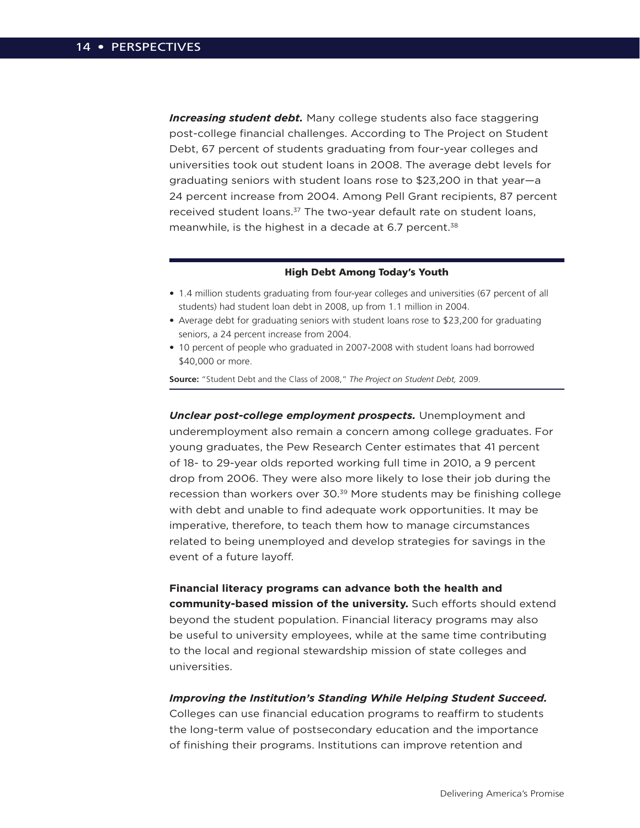*Increasing student debt.* Many college students also face staggering post-college financial challenges. According to The Project on Student Debt, 67 percent of students graduating from four-year colleges and universities took out student loans in 2008. The average debt levels for graduating seniors with student loans rose to \$23,200 in that year—a 24 percent increase from 2004. Among Pell Grant recipients, 87 percent received student loans.<sup>37</sup> The two-year default rate on student loans, meanwhile, is the highest in a decade at 6.7 percent.<sup>38</sup>

#### High Debt Among Today's Youth

- 1.4 million students graduating from four-year colleges and universities (67 percent of all students) had student loan debt in 2008, up from 1.1 million in 2004.
- Average debt for graduating seniors with student loans rose to \$23,200 for graduating seniors, a 24 percent increase from 2004.
- 10 percent of people who graduated in 2007-2008 with student loans had borrowed \$40,000 or more.

**Source:** "Student Debt and the Class of 2008," *The Project on Student Debt,* 2009.

*Unclear post-college employment prospects.* Unemployment and underemployment also remain a concern among college graduates. For young graduates, the Pew Research Center estimates that 41 percent of 18- to 29-year olds reported working full time in 2010, a 9 percent drop from 2006. They were also more likely to lose their job during the recession than workers over 30.<sup>39</sup> More students may be finishing college with debt and unable to find adequate work opportunities. It may be imperative, therefore, to teach them how to manage circumstances related to being unemployed and develop strategies for savings in the event of a future layoff.

**Financial literacy programs can advance both the health and community-based mission of the university.** Such efforts should extend beyond the student population. Financial literacy programs may also be useful to university employees, while at the same time contributing to the local and regional stewardship mission of state colleges and universities.

#### *Improving the Institution's Standing While Helping Student Succeed.*

Colleges can use financial education programs to reaffirm to students the long-term value of postsecondary education and the importance of finishing their programs. Institutions can improve retention and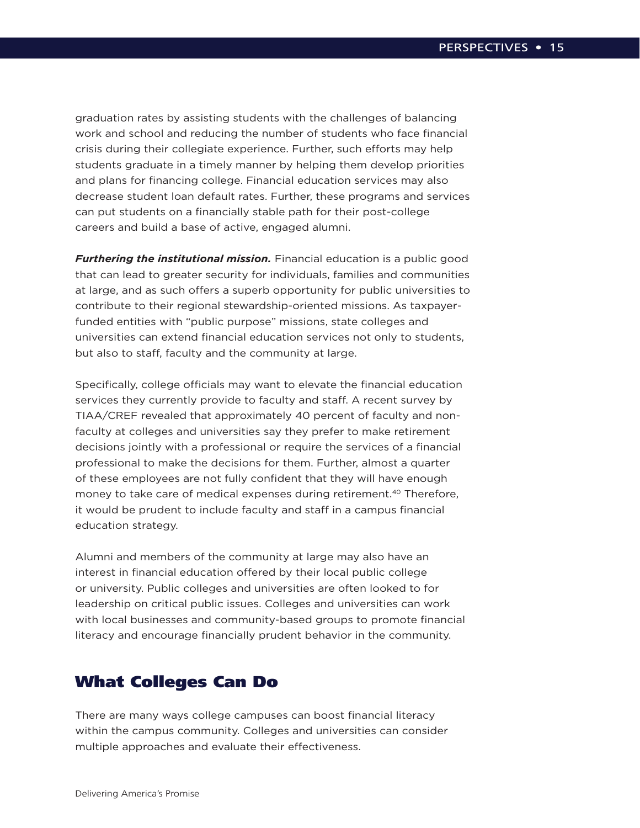graduation rates by assisting students with the challenges of balancing work and school and reducing the number of students who face financial crisis during their collegiate experience. Further, such efforts may help students graduate in a timely manner by helping them develop priorities and plans for financing college. Financial education services may also decrease student loan default rates. Further, these programs and services can put students on a financially stable path for their post-college careers and build a base of active, engaged alumni.

*Furthering the institutional mission.* Financial education is a public good that can lead to greater security for individuals, families and communities at large, and as such offers a superb opportunity for public universities to contribute to their regional stewardship-oriented missions. As taxpayerfunded entities with "public purpose" missions, state colleges and universities can extend financial education services not only to students, but also to staff, faculty and the community at large.

Specifically, college officials may want to elevate the financial education services they currently provide to faculty and staff. A recent survey by TIAA/CREF revealed that approximately 40 percent of faculty and nonfaculty at colleges and universities say they prefer to make retirement decisions jointly with a professional or require the services of a financial professional to make the decisions for them. Further, almost a quarter of these employees are not fully confident that they will have enough money to take care of medical expenses during retirement.<sup>40</sup> Therefore, it would be prudent to include faculty and staff in a campus financial education strategy.

Alumni and members of the community at large may also have an interest in financial education offered by their local public college or university. Public colleges and universities are often looked to for leadership on critical public issues. Colleges and universities can work with local businesses and community-based groups to promote financial literacy and encourage financially prudent behavior in the community.

## What Colleges Can Do

There are many ways college campuses can boost financial literacy within the campus community. Colleges and universities can consider multiple approaches and evaluate their effectiveness.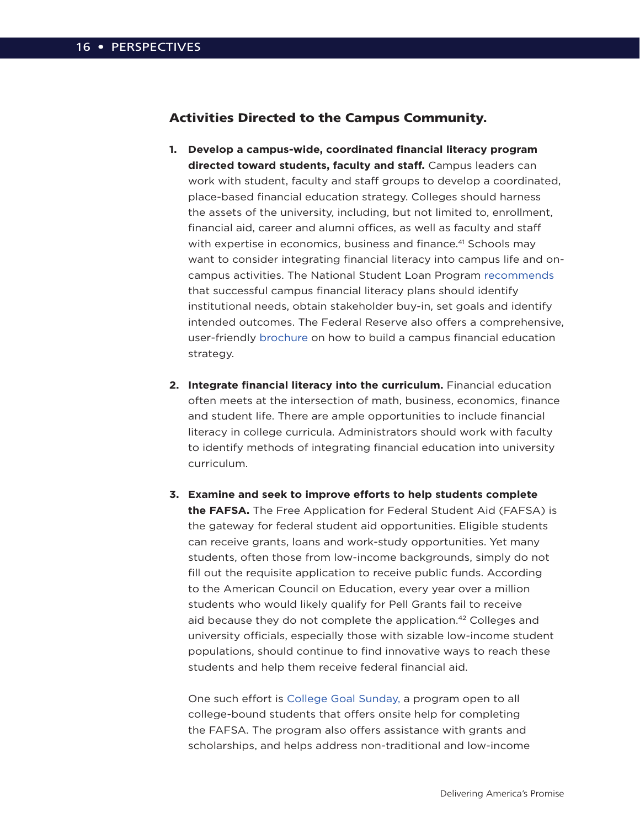### Activities Directed to the Campus Community.

- **1. Develop a campus-wide, coordinated financial literacy program directed toward students, faculty and staff.** Campus leaders can work with student, faculty and staff groups to develop a coordinated, place-based financial education strategy. Colleges should harness the assets of the university, including, but not limited to, enrollment, financial aid, career and alumni offices, as well as faculty and staff with expertise in economics, business and finance.<sup>41</sup> Schools may want to consider integrating financial literacy into campus life and oncampus activities. The National Student Loan Program [recommends](http://www.nslp.org/pages/pdf/NSLP_WhitePaper_4.8.10.pdf) that successful campus financial literacy plans should identify institutional needs, obtain stakeholder buy-in, set goals and identify intended outcomes. The Federal Reserve also offers a comprehensive, user-friendly [brochure](http://www.newyorkfed.org/regional/Fin%20Ed%20Toolkit%20for%20College%20Campuses.pdf) on how to build a campus financial education strategy.
- **2. Integrate financial literacy into the curriculum.** Financial education often meets at the intersection of math, business, economics, finance and student life. There are ample opportunities to include financial literacy in college curricula. Administrators should work with faculty to identify methods of integrating financial education into university curriculum.
- **3. Examine and seek to improve efforts to help students complete the FAFSA.** The Free Application for Federal Student Aid (FAFSA) is the gateway for federal student aid opportunities. Eligible students can receive grants, loans and work-study opportunities. Yet many students, often those from low-income backgrounds, simply do not fill out the requisite application to receive public funds. According to the American Council on Education, every year over a million students who would likely qualify for Pell Grants fail to receive aid because they do not complete the application.42 Colleges and university officials, especially those with sizable low-income student populations, should continue to find innovative ways to reach these students and help them receive federal financial aid.

One such effort is [College Goal Sunday,](http://www.collegegoalsundayusa.org/) a program open to all college-bound students that offers onsite help for completing the FAFSA. The program also offers assistance with grants and scholarships, and helps address non-traditional and low-income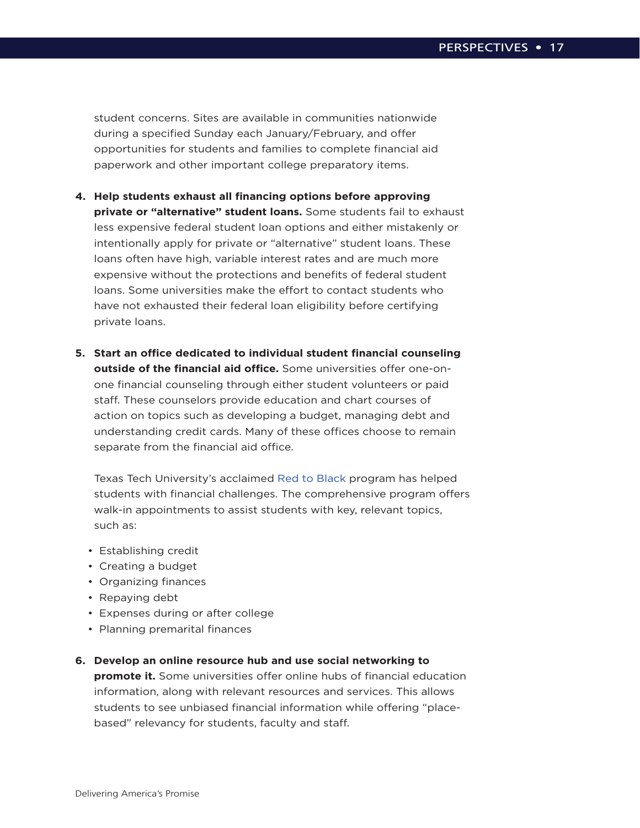student concerns. Sites are available in communities nationwide during a specified Sunday each January/February, and offer opportunities for students and families to complete financial aid paperwork and other important college preparatory items.

- **4. Help students exhaust all financing options before approving private or "alternative" student loans.** Some students fail to exhaust less expensive federal student loan options and either mistakenly or intentionally apply for private or "alternative" student loans. These loans often have high, variable interest rates and are much more expensive without the protections and benefits of federal student loans. Some universities make the effort to contact students who have not exhausted their federal loan eligibility before certifying private loans.
- **5. Start an office dedicated to individual student financial counseling outside of the financial aid office.** Some universities offer one-onone financial counseling through either student volunteers or paid staff. These counselors provide education and chart courses of action on topics such as developing a budget, managing debt and understanding credit cards. Many of these offices choose to remain separate from the financial aid office.

Texas Tech University's acclaimed [Red to Black](http://www.orgs.ttu.edu/r2b/) program has helped students with financial challenges. The comprehensive program offers walk-in appointments to assist students with key, relevant topics, such as:

- Establishing credit
- Creating a budget
- Organizing finances
- Repaying debt
- Expenses during or after college
- Planning premarital finances

#### **6. Develop an online resource hub and use social networking to**

**promote it.** Some universities offer online hubs of financial education information, along with relevant resources and services. This allows students to see unbiased financial information while offering "placebased" relevancy for students, faculty and staff.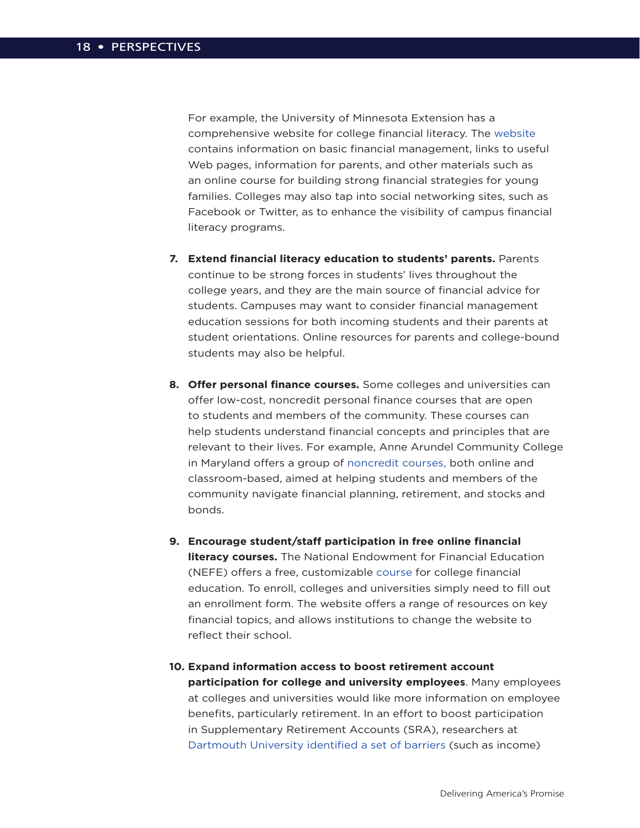For example, the University of Minnesota Extension has a comprehensive website for college financial literacy. The [website](http://www.extension.umn.edu/youth&money/college.html) contains information on basic financial management, links to useful Web pages, information for parents, and other materials such as an online course for building strong financial strategies for young families. Colleges may also tap into social networking sites, such as Facebook or Twitter, as to enhance the visibility of campus financial literacy programs.

- **7. Extend financial literacy education to students' parents.** Parents continue to be strong forces in students' lives throughout the college years, and they are the main source of financial advice for students. Campuses may want to consider financial management education sessions for both incoming students and their parents at student orientations. Online resources for parents and college-bound students may also be helpful.
- **8. Offer personal finance courses.** Some colleges and universities can offer low-cost, noncredit personal finance courses that are open to students and members of the community. These courses can help students understand financial concepts and principles that are relevant to their lives. For example, Anne Arundel Community College in Maryland offers a group of [noncredit courses,](http://www.aacc.edu/finance/) both online and classroom-based, aimed at helping students and members of the community navigate financial planning, retirement, and stocks and bonds.
- **9. Encourage student/staff participation in free online financial literacy courses.** The National Endowment for Financial Education (NEFE) offers a free, customizable [course](http://www.cashcourse.org/home/) for college financial education. To enroll, colleges and universities simply need to fill out an enrollment form. The website offers a range of resources on key financial topics, and allows institutions to change the website to reflect their school.
- **10. Expand information access to boost retirement account participation for college and university employees**. Many employees at colleges and universities would like more information on employee benefits, particularly retirement. In an effort to boost participation in Supplementary Retirement Accounts (SRA), researchers at [Dartmouth University identified a set of barriers](http://www.dartmouth.edu/~alusardi/Papers/T&I--Dartmouth%20Project--Lusardi,%20Keller%20&%20Keller.pdf) (such as income)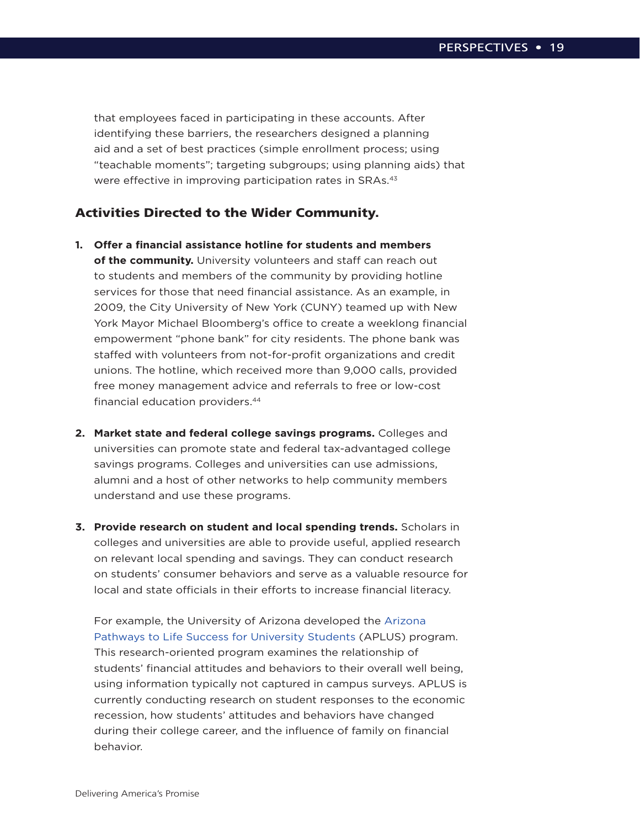that employees faced in participating in these accounts. After identifying these barriers, the researchers designed a planning aid and a set of best practices (simple enrollment process; using "teachable moments"; targeting subgroups; using planning aids) that were effective in improving participation rates in SRAs.<sup>43</sup>

### Activities Directed to the Wider Community.

- **1. Offer a financial assistance hotline for students and members of the community.** University volunteers and staff can reach out to students and members of the community by providing hotline services for those that need financial assistance. As an example, in 2009, the City University of New York (CUNY) teamed up with New York Mayor Michael Bloomberg's office to create a weeklong financial empowerment "phone bank" for city residents. The phone bank was staffed with volunteers from not-for-profit organizations and credit unions. The hotline, which received more than 9,000 calls, provided free money management advice and referrals to free or low-cost financial education providers.44
- **2. Market state and federal college savings programs.** Colleges and universities can promote state and federal tax-advantaged college savings programs. Colleges and universities can use admissions, alumni and a host of other networks to help community members understand and use these programs.
- **3. Provide research on student and local spending trends.** Scholars in colleges and universities are able to provide useful, applied research on relevant local spending and savings. They can conduct research on students' consumer behaviors and serve as a valuable resource for local and state officials in their efforts to increase financial literacy.

For example, the University of Arizona developed the [Arizona](http://aplus.arizona.edu/)  [Pathways to Life Success for University Students](http://aplus.arizona.edu/) (APLUS) program. This research-oriented program examines the relationship of students' financial attitudes and behaviors to their overall well being, using information typically not captured in campus surveys. APLUS is currently conducting research on student responses to the economic recession, how students' attitudes and behaviors have changed during their college career, and the influence of family on financial behavior.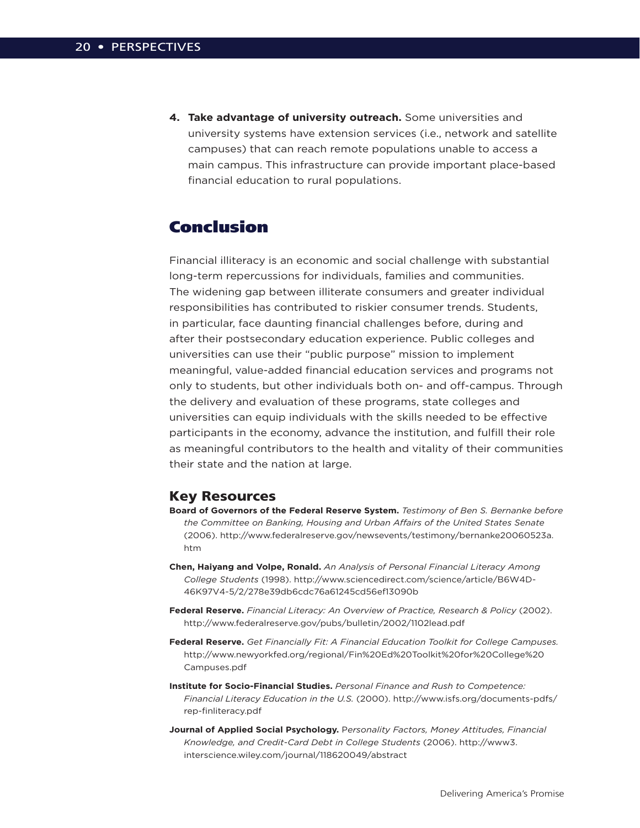**4. Take advantage of university outreach.** Some universities and university systems have extension services (i.e., network and satellite campuses) that can reach remote populations unable to access a main campus. This infrastructure can provide important place-based financial education to rural populations.

## Conclusion

Financial illiteracy is an economic and social challenge with substantial long-term repercussions for individuals, families and communities. The widening gap between illiterate consumers and greater individual responsibilities has contributed to riskier consumer trends. Students, in particular, face daunting financial challenges before, during and after their postsecondary education experience. Public colleges and universities can use their "public purpose" mission to implement meaningful, value-added financial education services and programs not only to students, but other individuals both on- and off-campus. Through the delivery and evaluation of these programs, state colleges and universities can equip individuals with the skills needed to be effective participants in the economy, advance the institution, and fulfill their role as meaningful contributors to the health and vitality of their communities their state and the nation at large.

### Key Resources

- **Board of Governors of the Federal Reserve System.** *Testimony of Ben S. Bernanke before the Committee on Banking, Housing and Urban Affairs of the United States Senate* (2006). http://www.federalreserve.gov/newsevents/testimony/bernanke20060523a. htm
- **Chen, Haiyang and Volpe, Ronald.** *An Analysis of Personal Financial Literacy Among College Students* (1998). http://www.sciencedirect.com/science/article/B6W4D-46K97V4-5/2/278e39db6cdc76a61245cd56ef13090b
- **Federal Reserve.** *Financial Literacy: An Overview of Practice, Research & Policy* (2002). http://www.federalreserve.gov/pubs/bulletin/2002/1102lead.pdf
- **Federal Reserve.** *Get Financially Fit: A Financial Education Toolkit for College Campuses.* http://www.newyorkfed.org/regional/Fin%20Ed%20Toolkit%20for%20College%20 Campuses.pdf
- **Institute for Socio-Financial Studies.** *Personal Finance and Rush to Competence: Financial Literacy Education in the U.S.* (2000). http://www.isfs.org/documents-pdfs/ rep-finliteracy.pdf
- **Journal of Applied Social Psychology.** P*ersonality Factors, Money Attitudes, Financial Knowledge, and Credit-Card Debt in College Students* (2006). http://www3. interscience.wiley.com/journal/118620049/abstract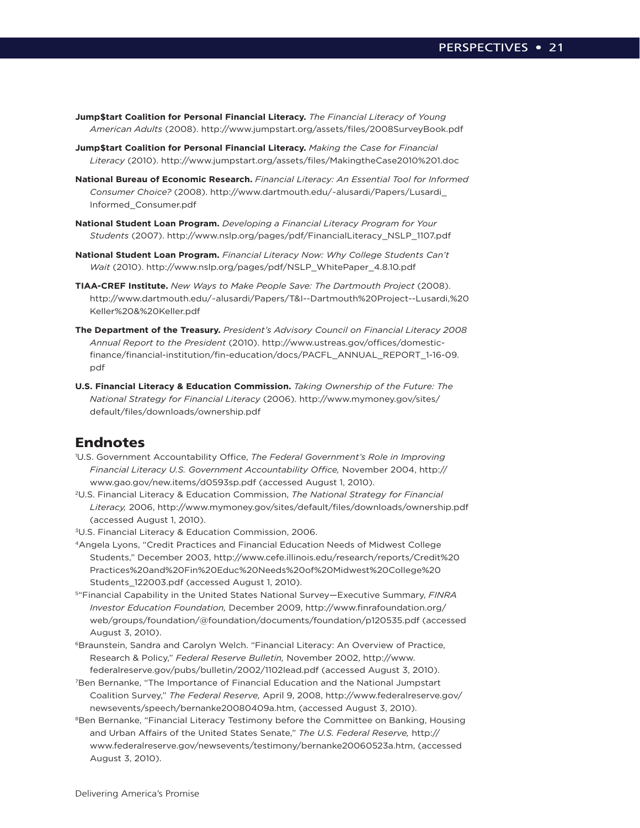- **Jump\$tart Coalition for Personal Financial Literacy.** *The Financial Literacy of Young American Adults* (2008). http://www.jumpstart.org/assets/files/2008SurveyBook.pdf
- **Jump\$tart Coalition for Personal Financial Literacy.** *Making the Case for Financial Literacy* (2010). http://www.jumpstart.org/assets/files/MakingtheCase2010%201.doc
- **National Bureau of Economic Research.** *Financial Literacy: An Essential Tool for Informed Consumer Choice?* (2008). http://www.dartmouth.edu/~alusardi/Papers/Lusardi\_ Informed\_Consumer.pdf
- **National Student Loan Program.** *Developing a Financial Literacy Program for Your Students* (2007). http://www.nslp.org/pages/pdf/FinancialLiteracy\_NSLP\_1107.pdf
- **National Student Loan Program.** *Financial Literacy Now: Why College Students Can't Wait* (2010). http://www.nslp.org/pages/pdf/NSLP\_WhitePaper\_4.8.10.pdf
- **TIAA-CREF Institute.** *New Ways to Make People Save: The Dartmouth Project* (2008). http://www.dartmouth.edu/~alusardi/Papers/T&I--Dartmouth%20Project--Lusardi,%20 Keller%20&%20Keller.pdf
- **The Department of the Treasury.** *President's Advisory Council on Financial Literacy 2008 Annual Report to the President* (2010). http://www.ustreas.gov/offices/domesticfinance/financial-institution/fin-education/docs/PACFL\_ANNUAL\_REPORT\_1-16-09. pdf
- **U.S. Financial Literacy & Education Commission.** *Taking Ownership of the Future: The National Strategy for Financial Literacy* (2006). http://www.mymoney.gov/sites/ default/files/downloads/ownership.pdf

### Endnotes

- 1 U.S. Government Accountability Office, *The Federal Government's Role in Improving Financial Literacy U.S. Government Accountability Office,* November 2004, http:// www.gao.gov/new.items/d0593sp.pdf (accessed August 1, 2010).
- 2U.S. Financial Literacy & Education Commission, *The National Strategy for Financial Literacy,* 2006, http://www.mymoney.gov/sites/default/files/downloads/ownership.pdf (accessed August 1, 2010).
- 3U.S. Financial Literacy & Education Commission, 2006.
- 4Angela Lyons, "Credit Practices and Financial Education Needs of Midwest College Students," December 2003, http://www.cefe.illinois.edu/research/reports/Credit%20 Practices%20and%20Fin%20Educ%20Needs%20of%20Midwest%20College%20 Students 122003.pdf (accessed August 1, 2010).
- 5"Financial Capability in the United States National Survey—Executive Summary, *FINRA Investor Education Foundation,* December 2009, http://www.finrafoundation.org/ web/groups/foundation/@foundation/documents/foundation/p120535.pdf (accessed August 3, 2010).
- 6Braunstein, Sandra and Carolyn Welch. "Financial Literacy: An Overview of Practice, Research & Policy," *Federal Reserve Bulletin,* November 2002, http://www. federalreserve.gov/pubs/bulletin/2002/1102lead.pdf (accessed August 3, 2010).
- 7Ben Bernanke, "The Importance of Financial Education and the National Jumpstart Coalition Survey," *The Federal Reserve,* April 9, 2008, http://www.federalreserve.gov/ newsevents/speech/bernanke20080409a.htm, (accessed August 3, 2010).
- <sup>8</sup>Ben Bernanke, "Financial Literacy Testimony before the Committee on Banking, Housing and Urban Affairs of the United States Senate," *The U.S. Federal Reserve,* http:// www.federalreserve.gov/newsevents/testimony/bernanke20060523a.htm, (accessed August 3, 2010).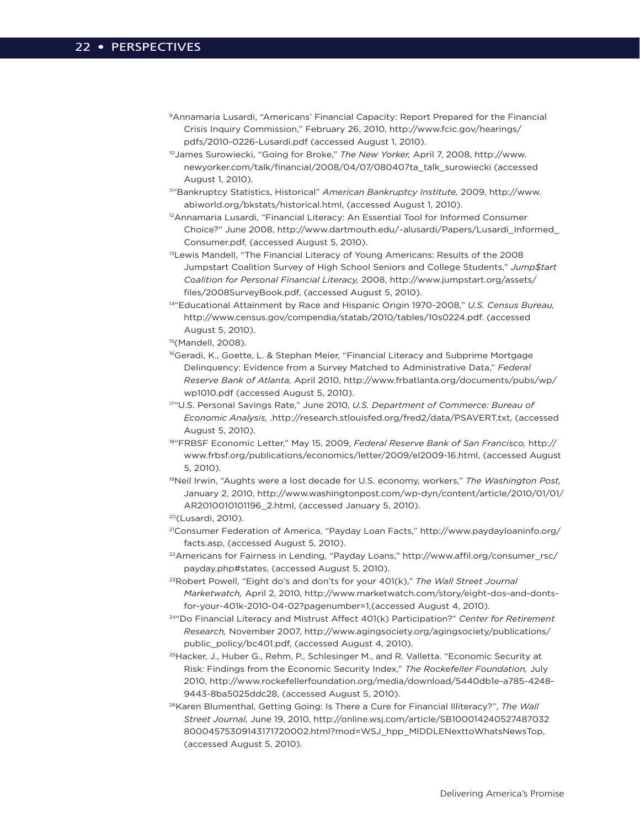- 9Annamaria Lusardi, "Americans' Financial Capacity: Report Prepared for the Financial Crisis Inquiry Commission," February 26, 2010, http://www.fcic.gov/hearings/ pdfs/2010-0226-Lusardi.pdf (accessed August 1, 2010).
- 10James Surowiecki, "Going for Broke," *The New Yorker,* April 7, 2008, http://www. newyorker.com/talk/financial/2008/04/07/080407ta\_talk\_surowiecki (accessed August 1, 2010).
- 11"Bankruptcy Statistics, Historical" *American Bankruptcy Institute,* 2009, http://www. abiworld.org/bkstats/historical.html, (accessed August 1, 2010).
- <sup>12</sup>Annamaria Lusardi, "Financial Literacy: An Essential Tool for Informed Consumer Choice?" June 2008, http://www.dartmouth.edu/~alusardi/Papers/Lusardi\_Informed\_ Consumer.pdf, (accessed August 5, 2010).
- <sup>13</sup>Lewis Mandell, "The Financial Literacy of Young Americans: Results of the 2008 Jumpstart Coalition Survey of High School Seniors and College Students," *Jump\$tart Coalition for Personal Financial Literacy,* 2008, http://www.jumpstart.org/assets/ files/2008SurveyBook.pdf, (accessed August 5, 2010).
- 14"Educational Attainment by Race and Hispanic Origin 1970-2008," *U.S. Census Bureau,* http://www.census.gov/compendia/statab/2010/tables/10s0224.pdf. (accessed August 5, 2010).

15(Mandell, 2008).

- <sup>16</sup>Geradi, K., Goette, L. & Stephan Meier, "Financial Literacy and Subprime Mortgage Delinquency: Evidence from a Survey Matched to Administrative Data," *Federal Reserve Bank of Atlanta,* April 2010, http://www.frbatlanta.org/documents/pubs/wp/ wp1010.pdf (accessed August 5, 2010).
- 17"U.S. Personal Savings Rate," June 2010, *U.S. Department of Commerce: Bureau of Economic Analysis,* .http://research.stlouisfed.org/fred2/data/PSAVERT.txt, (accessed August 5, 2010).
- 18"FRBSF Economic Letter," May 15, 2009, *Federal Reserve Bank of San Francisco,* http:// www.frbsf.org/publications/economics/letter/2009/el2009-16.html, (accessed August 5, 2010).
- 19Neil Irwin, "Aughts were a lost decade for U.S. economy, workers," *The Washington Post,* January 2, 2010, http://www.washingtonpost.com/wp-dyn/content/article/2010/01/01/ AR2010010101196\_2.html, (accessed January 5, 2010).

20(Lusardi, 2010).

- 21Consumer Federation of America, "Payday Loan Facts," http://www.paydayloaninfo.org/ facts.asp, (accessed August 5, 2010).
- 22Americans for Fairness in Lending, "Payday Loans," http://www.affil.org/consumer\_rsc/ payday.php#states, (accessed August 5, 2010).
- 23Robert Powell, "Eight do's and don'ts for your 401(k)," *The Wall Street Journal Marketwatch,* April 2, 2010, http://www.marketwatch.com/story/eight-dos-and-dontsfor-your-401k-2010-04-02?pagenumber=1,(accessed August 4, 2010).
- 24"Do Financial Literacy and Mistrust Affect 401(k) Participation?" *Center for Retirement Research,* November 2007, http://www.agingsociety.org/agingsociety/publications/ public\_policy/bc401.pdf, (accessed August 4, 2010).
- 25Hacker, J., Huber G., Rehm, P., Schlesinger M., and R. Valletta. "Economic Security at Risk: Findings from the Economic Security Index," *The Rockefeller Foundation,* July 2010, http://www.rockefellerfoundation.org/media/download/5440db1e-a785-4248- 9443-8ba5025ddc28, (accessed August 5, 2010).
- <sup>26</sup>Karen Blumenthal, Getting Going: Is There a Cure for Financial Illiteracy?", The Wall *Street Journal,* June 19, 2010, http://online.wsj.com/article/SB100014240527487032 80004575309143171720002.html?mod=WSJ\_hpp\_MIDDLENexttoWhatsNewsTop, (accessed August 5, 2010).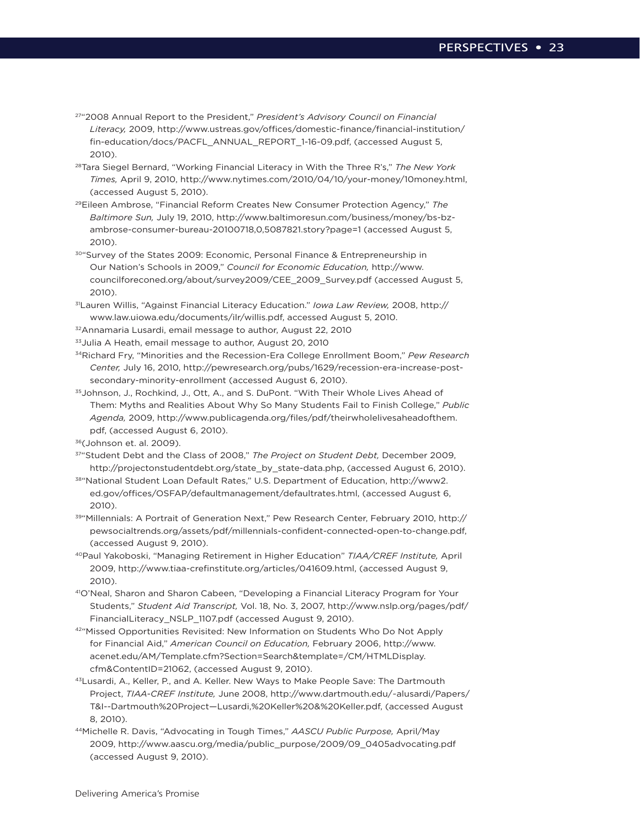- 27"2008 Annual Report to the President," *President's Advisory Council on Financial Literacy,* 2009, http://www.ustreas.gov/offices/domestic-finance/financial-institution/ fin-education/docs/PACFL\_ANNUAL\_REPORT\_1-16-09.pdf, (accessed August 5, 2010).
- 28Tara Siegel Bernard, "Working Financial Literacy in With the Three R's," *The New York Times,* April 9, 2010, http://www.nytimes.com/2010/04/10/your-money/10money.html, (accessed August 5, 2010).
- 29Eileen Ambrose, "Financial Reform Creates New Consumer Protection Agency," *The Baltimore Sun,* July 19, 2010, http://www.baltimoresun.com/business/money/bs-bzambrose-consumer-bureau-20100718,0,5087821.story?page=1 (accessed August 5, 2010).
- 30"Survey of the States 2009: Economic, Personal Finance & Entrepreneurship in Our Nation's Schools in 2009," *Council for Economic Education,* http://www. councilforeconed.org/about/survey2009/CEE\_2009\_Survey.pdf (accessed August 5, 2010).
- 31Lauren Willis, "Against Financial Literacy Education." *Iowa Law Review,* 2008, http:// www.law.uiowa.edu/documents/ilr/willis.pdf, accessed August 5, 2010.
- 32Annamaria Lusardi, email message to author, August 22, 2010
- 33Julia A Heath, email message to author, August 20, 2010
- 34Richard Fry, "Minorities and the Recession-Era College Enrollment Boom," *Pew Research Center,* July 16, 2010, http://pewresearch.org/pubs/1629/recession-era-increase-postsecondary-minority-enrollment (accessed August 6, 2010).
- 35Johnson, J., Rochkind, J., Ott, A., and S. DuPont. "With Their Whole Lives Ahead of Them: Myths and Realities About Why So Many Students Fail to Finish College," *Public Agenda,* 2009, http://www.publicagenda.org/files/pdf/theirwholelivesaheadofthem. pdf, (accessed August 6, 2010).
- 36(Johnson et. al. 2009).
- 37"Student Debt and the Class of 2008," *The Project on Student Debt,* December 2009, http://projectonstudentdebt.org/state\_by\_state-data.php, (accessed August 6, 2010).
- 38"National Student Loan Default Rates," U.S. Department of Education, http://www2. ed.gov/offices/OSFAP/defaultmanagement/defaultrates.html, (accessed August 6, 2010).
- 39"Millennials: A Portrait of Generation Next," Pew Research Center, February 2010, http:// pewsocialtrends.org/assets/pdf/millennials-confident-connected-open-to-change.pdf, (accessed August 9, 2010).
- 40Paul Yakoboski, "Managing Retirement in Higher Education" *TIAA/CREF Institute,* April 2009, http://www.tiaa-crefinstitute.org/articles/041609.html, (accessed August 9, 2010).
- 41O'Neal, Sharon and Sharon Cabeen, "Developing a Financial Literacy Program for Your Students," *Student Aid Transcript,* Vol. 18, No. 3, 2007, http://www.nslp.org/pages/pdf/ FinancialLiteracy\_NSLP\_1107.pdf (accessed August 9, 2010).
- 42"Missed Opportunities Revisited: New Information on Students Who Do Not Apply for Financial Aid," *American Council on Education,* February 2006, http://www. acenet.edu/AM/Template.cfm?Section=Search&template=/CM/HTMLDisplay. cfm&ContentID=21062, (accessed August 9, 2010).
- 43Lusardi, A., Keller, P., and A. Keller. New Ways to Make People Save: The Dartmouth Project, *TIAA-CREF Institute,* June 2008, http://www.dartmouth.edu/~alusardi/Papers/ T&I--Dartmouth%20Project—Lusardi,%20Keller%20&%20Keller.pdf, (accessed August 8, 2010).
- 44Michelle R. Davis, "Advocating in Tough Times," *AASCU Public Purpose,* April/May 2009, http://www.aascu.org/media/public\_purpose/2009/09\_0405advocating.pdf (accessed August 9, 2010).